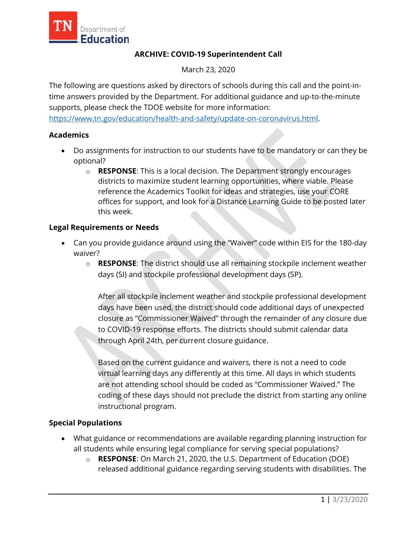

## **ARCHIVE: COVID-19 Superintendent Call**

March 23, 2020

The following are questions asked by directors of schools during this call and the point-intime answers provided by the Department. For additional guidance and up-to-the-minute supports, please check the TDOE website for more information:

[https://www.tn.gov/education/health-and-safety/update-on-coronavirus.html.](https://www.tn.gov/education/health-and-safety/update-on-coronavirus.html)

## **Academics**

- Do assignments for instruction to our students have to be mandatory or can they be optional?
	- o **RESPONSE**: This is a local decision. The Department strongly encourages districts to maximize student learning opportunities, where viable. Please reference the Academics Toolkit for ideas and strategies, use your CORE offices for support, and look for a Distance Learning Guide to be posted later this week.

## **Legal Requirements or Needs**

- Can you provide guidance around using the "Waiver" code within EIS for the 180-day waiver?
	- o **RESPONSE**: The district should use all remaining stockpile inclement weather days (SI) and stockpile professional development days (SP).

After all stockpile inclement weather and stockpile professional development days have been used, the district should code additional days of unexpected closure as "Commissioner Waived" through the remainder of any closure due to COVID-19 response efforts. The districts should submit calendar data through April 24th, per current closure guidance.

Based on the current guidance and waivers, there is not a need to code virtual learning days any differently at this time. All days in which students are not attending school should be coded as "Commissioner Waived." The coding of these days should not preclude the district from starting any online instructional program.

## **Special Populations**

- What guidance or recommendations are available regarding planning instruction for all students while ensuring legal compliance for serving special populations?
	- o **RESPONSE**: On March 21, 2020, the U.S. Department of Education (DOE) released additional guidance regarding serving students with disabilities. The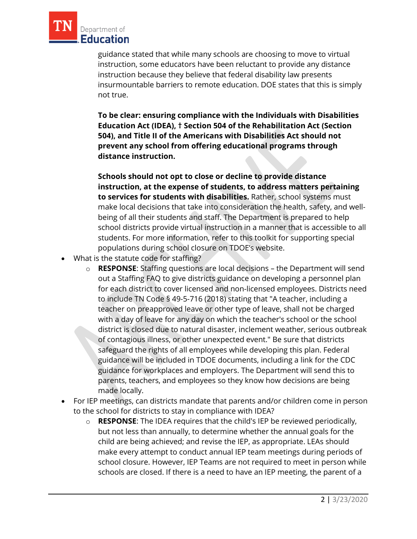

guidance stated that while many schools are choosing to move to virtual instruction, some educators have been reluctant to provide any distance instruction because they believe that federal disability law presents insurmountable barriers to remote education. DOE states that this is simply not true.

**To be clear: ensuring compliance with the Individuals with Disabilities Education Act (IDEA), † Section 504 of the Rehabilitation Act (Section 504), and Title II of the Americans with Disabilities Act should not prevent any school from offering educational programs through distance instruction.**

**Schools should not opt to close or decline to provide distance instruction, at the expense of students, to address matters pertaining to services for students with disabilities.** Rather, school systems must make local decisions that take into consideration the health, safety, and wellbeing of all their students and staff. The Department is prepared to help school districts provide virtual instruction in a manner that is accessible to all students. For more information, refer to this toolkit for supporting special populations during school closure on TDOE's website.

- What is the statute code for staffing?
	- o **RESPONSE**: Staffing questions are local decisions the Department will send out a Staffing FAQ to give districts guidance on developing a personnel plan for each district to cover licensed and non-licensed employees. Districts need to include TN Code § 49-5-716 (2018) stating that "A teacher, including a teacher on preapproved leave or other type of leave, shall not be charged with a day of leave for any day on which the teacher's school or the school district is closed due to natural disaster, inclement weather, serious outbreak of contagious illness, or other unexpected event." Be sure that districts safeguard the rights of all employees while developing this plan. Federal guidance will be included in TDOE documents, including a link for the CDC guidance for workplaces and employers. The Department will send this to parents, teachers, and employees so they know how decisions are being made locally.
- For IEP meetings, can districts mandate that parents and/or children come in person to the school for districts to stay in compliance with IDEA?
	- o **RESPONSE**: The IDEA requires that the child's IEP be reviewed periodically, but not less than annually, to determine whether the annual goals for the child are being achieved; and revise the IEP, as appropriate. LEAs should make every attempt to conduct annual IEP team meetings during periods of school closure. However, IEP Teams are not required to meet in person while schools are closed. If there is a need to have an IEP meeting, the parent of a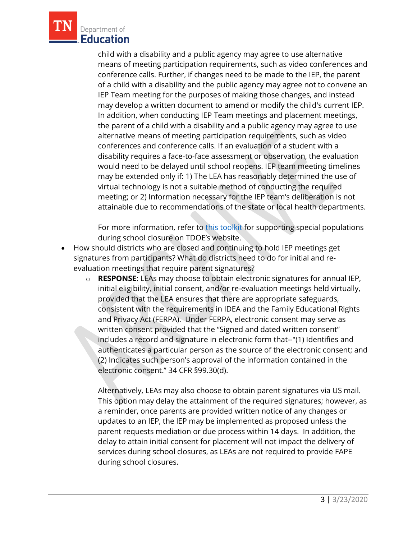

child with a disability and a public agency may agree to use alternative means of meeting participation requirements, such as video conferences and conference calls. Further, if changes need to be made to the IEP, the parent of a child with a disability and the public agency may agree not to convene an IEP Team meeting for the purposes of making those changes, and instead may develop a written document to amend or modify the child's current IEP. In addition, when conducting IEP Team meetings and placement meetings, the parent of a child with a disability and a public agency may agree to use alternative means of meeting participation requirements, such as video conferences and conference calls. If an evaluation of a student with a disability requires a face-to-face assessment or observation, the evaluation would need to be delayed until school reopens. IEP team meeting timelines may be extended only if: 1) The LEA has reasonably determined the use of virtual technology is not a suitable method of conducting the required meeting; or 2) Information necessary for the IEP team's deliberation is not attainable due to recommendations of the state or local health departments.

For more information, refer to [this toolkit](https://www.tn.gov/content/dam/tn/education/health-&-safety/School_Closure_Toolkit_Special%20Populations.pdf) for supporting special populations during school closure on TDOE's website.

- How should districts who are closed and continuing to hold IEP meetings get signatures from participants? What do districts need to do for initial and reevaluation meetings that require parent signatures?
	- o **RESPONSE**: LEAs may choose to obtain electronic signatures for annual IEP, initial eligibility, initial consent, and/or re-evaluation meetings held virtually, provided that the LEA ensures that there are appropriate safeguards, consistent with the requirements in IDEA and the Family Educational Rights and Privacy Act (FERPA). Under FERPA, electronic consent may serve as written consent provided that the "Signed and dated written consent" includes a record and signature in electronic form that--"(1) Identifies and authenticates a particular person as the source of the electronic consent; and (2) Indicates such person's approval of the information contained in the electronic consent." 34 CFR §99.30(d).

Alternatively, LEAs may also choose to obtain parent signatures via US mail. This option may delay the attainment of the required signatures; however, as a reminder, once parents are provided written notice of any changes or updates to an IEP, the IEP may be implemented as proposed unless the parent requests mediation or due process within 14 days. In addition, the delay to attain initial consent for placement will not impact the delivery of services during school closures, as LEAs are not required to provide FAPE during school closures.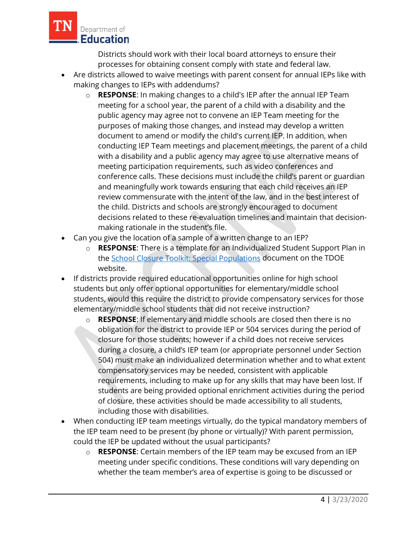

Districts should work with their local board attorneys to ensure their processes for obtaining consent comply with state and federal law.

- Are districts allowed to waive meetings with parent consent for annual IEPs like with making changes to IEPs with addendums?
	- o **RESPONSE**: In making changes to a child's IEP after the annual IEP Team meeting for a school year, the parent of a child with a disability and the public agency may agree not to convene an IEP Team meeting for the purposes of making those changes, and instead may develop a written document to amend or modify the child's current IEP. In addition, when conducting IEP Team meetings and placement meetings, the parent of a child with a disability and a public agency may agree to use alternative means of meeting participation requirements, such as video conferences and conference calls. These decisions must include the child's parent or guardian and meaningfully work towards ensuring that each child receives an IEP review commensurate with the intent of the law, and in the best interest of the child. Districts and schools are strongly encouraged to document decisions related to these re-evaluation timelines and maintain that decisionmaking rationale in the student's file.
- Can you give the location of a sample of a written change to an IEP?
	- o **RESPONSE**: There is a template for an Individualized Student Support Plan in the [School Closure Toolkit: Special Populations](https://www.tn.gov/content/dam/tn/education/health-&-safety/School_Closure_Toolkit_Special%20Populations.pdf) document on the TDOE website.
- If districts provide required educational opportunities online for high school students but only offer optional opportunities for elementary/middle school students, would this require the district to provide compensatory services for those elementary/middle school students that did not receive instruction?
	- o **RESPONSE**: If elementary and middle schools are closed then there is no obligation for the district to provide IEP or 504 services during the period of closure for those students; however if a child does not receive services during a closure, a child's IEP team (or appropriate personnel under Section 504) must make an individualized determination whether and to what extent compensatory services may be needed, consistent with applicable requirements, including to make up for any skills that may have been lost. If students are being provided optional enrichment activities during the period of closure, these activities should be made accessibility to all students, including those with disabilities.
- When conducting IEP team meetings virtually, do the typical mandatory members of the IEP team need to be present (by phone or virtually)? With parent permission, could the IEP be updated without the usual participants?
	- o **RESPONSE**: Certain members of the IEP team may be excused from an IEP meeting under specific conditions. These conditions will vary depending on whether the team member's area of expertise is going to be discussed or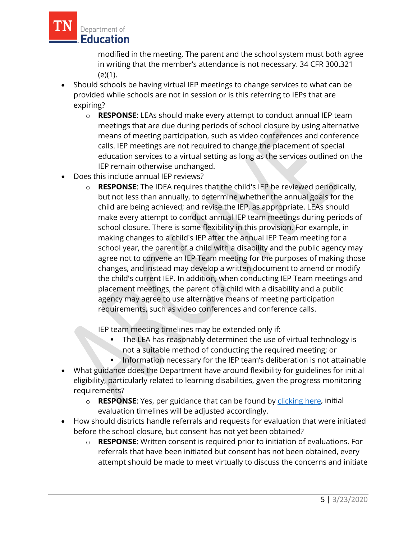

modified in the meeting. The parent and the school system must both agree in writing that the member's attendance is not necessary. 34 CFR 300.321 (e)(1).

- Should schools be having virtual IEP meetings to change services to what can be provided while schools are not in session or is this referring to IEPs that are expiring?
	- o **RESPONSE**: LEAs should make every attempt to conduct annual IEP team meetings that are due during periods of school closure by using alternative means of meeting participation, such as video conferences and conference calls. IEP meetings are not required to change the placement of special education services to a virtual setting as long as the services outlined on the IEP remain otherwise unchanged.
- Does this include annual IEP reviews?
	- o **RESPONSE**: The IDEA requires that the child's IEP be reviewed periodically, but not less than annually, to determine whether the annual goals for the child are being achieved; and revise the IEP, as appropriate. LEAs should make every attempt to conduct annual IEP team meetings during periods of school closure. There is some flexibility in this provision. For example, in making changes to a child's IEP after the annual IEP Team meeting for a school year, the parent of a child with a disability and the public agency may agree not to convene an IEP Team meeting for the purposes of making those changes, and instead may develop a written document to amend or modify the child's current IEP. In addition, when conducting IEP Team meetings and placement meetings, the parent of a child with a disability and a public agency may agree to use alternative means of meeting participation requirements, such as video conferences and conference calls.

IEP team meeting timelines may be extended only if:

- The LEA has reasonably determined the use of virtual technology is not a suitable method of conducting the required meeting; or
- Information necessary for the IEP team's deliberation is not attainable
- What guidance does the Department have around flexibility for guidelines for initial eligibility, particularly related to learning disabilities, given the progress monitoring requirements?
	- o **RESPONSE**: Yes, per guidance that can be found by [clicking here,](https://www.tn.gov/content/dam/tn/education/health-&-safety/Services%20to%20Students%20with%20Disabilities%20COVID-19%20Guidance.pdf) initial evaluation timelines will be adjusted accordingly.
- How should districts handle referrals and requests for evaluation that were initiated before the school closure, but consent has not yet been obtained?
	- o **RESPONSE**: Written consent is required prior to initiation of evaluations. For referrals that have been initiated but consent has not been obtained, every attempt should be made to meet virtually to discuss the concerns and initiate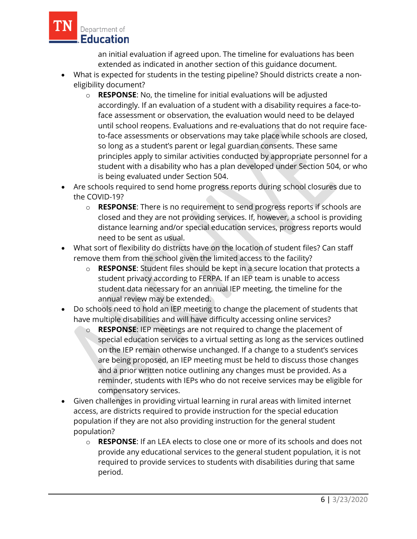

an initial evaluation if agreed upon. The timeline for evaluations has been extended as indicated in another section of this guidance document.

- What is expected for students in the testing pipeline? Should districts create a noneligibility document?
	- o **RESPONSE**: No, the timeline for initial evaluations will be adjusted accordingly. If an evaluation of a student with a disability requires a face-toface assessment or observation, the evaluation would need to be delayed until school reopens. Evaluations and re-evaluations that do not require faceto-face assessments or observations may take place while schools are closed, so long as a student's parent or legal guardian consents. These same principles apply to similar activities conducted by appropriate personnel for a student with a disability who has a plan developed under Section 504, or who is being evaluated under Section 504.
- Are schools required to send home progress reports during school closures due to the COVID-19?
	- o **RESPONSE**: There is no requirement to send progress reports if schools are closed and they are not providing services. If, however, a school is providing distance learning and/or special education services, progress reports would need to be sent as usual.
- What sort of flexibility do districts have on the location of student files? Can staff remove them from the school given the limited access to the facility?
	- o **RESPONSE**: Student files should be kept in a secure location that protects a student privacy according to FERPA. If an IEP team is unable to access student data necessary for an annual IEP meeting, the timeline for the annual review may be extended.
- Do schools need to hold an IEP meeting to change the placement of students that have multiple disabilities and will have difficulty accessing online services?
	- o **RESPONSE**: IEP meetings are not required to change the placement of special education services to a virtual setting as long as the services outlined on the IEP remain otherwise unchanged. If a change to a student's services are being proposed, an IEP meeting must be held to discuss those changes and a prior written notice outlining any changes must be provided. As a reminder, students with IEPs who do not receive services may be eligible for compensatory services.
- Given challenges in providing virtual learning in rural areas with limited internet access, are districts required to provide instruction for the special education population if they are not also providing instruction for the general student population?
	- o **RESPONSE**: If an LEA elects to close one or more of its schools and does not provide any educational services to the general student population, it is not required to provide services to students with disabilities during that same period.